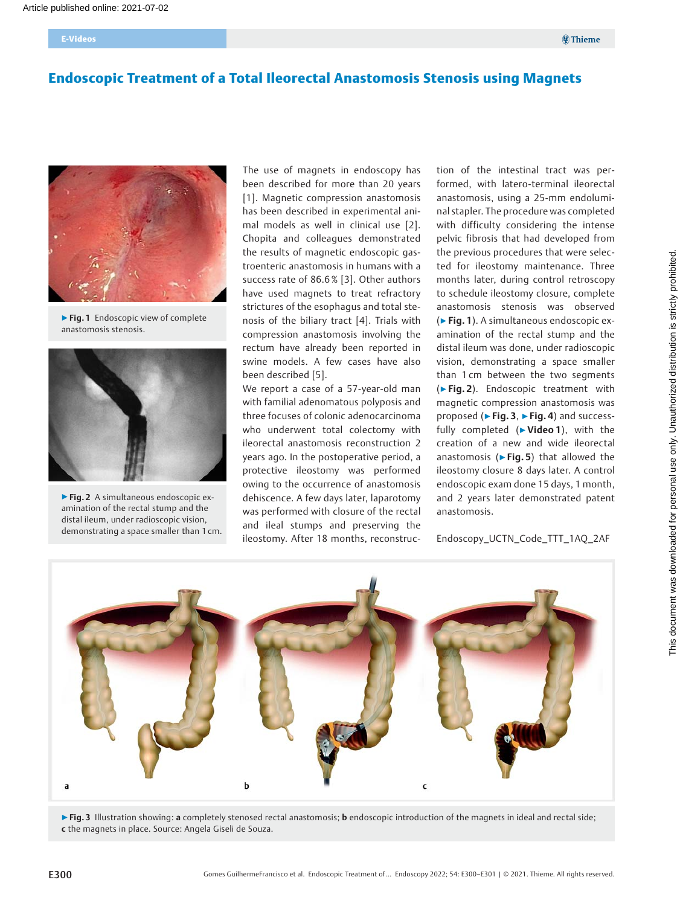# Endoscopic Treatment of a Total Ileorectal Anastomosis Stenosis using Magnets



▶ Fig. 1 Endoscopic view of complete anastomosis stenosis.



▶ Fig. 2 A simultaneous endoscopic examination of the rectal stump and the distal ileum, under radioscopic vision, demonstrating a space smaller than 1 cm.

The use of magnets in endoscopy has been described for more than 20 years [1]. Magnetic compression anastomosis has been described in experimental animal models as well in clinical use [2]. Chopita and colleagues demonstrated the results of magnetic endoscopic gastroenteric anastomosis in humans with a success rate of 86.6 % [3]. Other authors have used magnets to treat refractory strictures of the esophagus and total stenosis of the biliary tract [4]. Trials with compression anastomosis involving the rectum have already been reported in swine models. A few cases have also been described [5].

We report a case of a 57-year-old man with familial adenomatous polyposis and three focuses of colonic adenocarcinoma who underwent total colectomy with ileorectal anastomosis reconstruction 2 years ago. In the postoperative period, a protective ileostomy was performed owing to the occurrence of anastomosis dehiscence. A few days later, laparotomy was performed with closure of the rectal and ileal stumps and preserving the ileostomy. After 18 months, reconstruction of the intestinal tract was performed, with latero-terminal ileorectal anastomosis, using a 25-mm endoluminal stapler. The procedure was completed with difficulty considering the intense pelvic fibrosis that had developed from the previous procedures that were selected for ileostomy maintenance. Three months later, during control retroscopy to schedule ileostomy closure, complete anastomosis stenosis was observed (▶Fig. 1). A simultaneous endoscopic examination of the rectal stump and the distal ileum was done, under radioscopic vision, demonstrating a space smaller than 1 cm between the two segments (▶Fig. 2). Endoscopic treatment with magnetic compression anastomosis was proposed (► Fig. 3, ► Fig. 4) and successfully completed (>Video 1), with the creation of a new and wide ileorectal anastomosis ( $\triangleright$  Fig. 5) that allowed the ileostomy closure 8 days later. A control endoscopic exam done 15 days, 1 month, and 2 years later demonstrated patent anastomosis.

Endoscopy\_UCTN\_Code\_TTT\_1AQ\_2AF



▶Fig. 3 Illustration showing: a completely stenosed rectal anastomosis; b endoscopic introduction of the magnets in ideal and rectal side; c the magnets in place. Source: Angela Giseli de Souza.